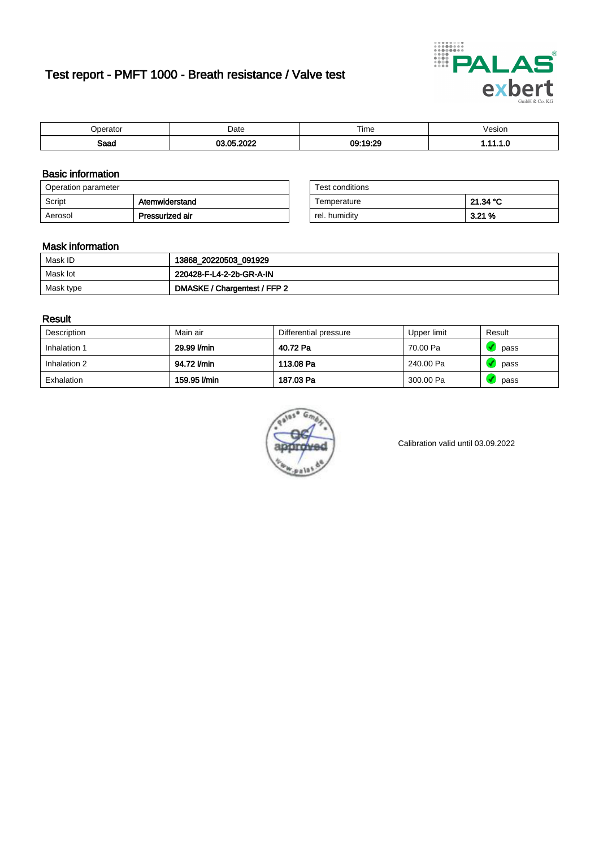# Test report - PMFT 1000 - Breath resistance / Valve test



| berator             | Date                                         | Time     | /esion |
|---------------------|----------------------------------------------|----------|--------|
| <b>Roon</b><br>oaau | 000<br><b>OF</b><br>$\overline{\phantom{a}}$ | 09:19:29 | .      |

### Basic information

| Operation parameter |                 | Test conditions |          |
|---------------------|-----------------|-----------------|----------|
| Script              | Atemwiderstand  | Temperature     | 21.34 °C |
| Aerosol             | Pressurized air | rel. humidity   | 3.21%    |

| Test conditions |          |
|-----------------|----------|
| Temperature     | 21.34 °C |
| rel. humidity   | 3.21%    |

#### Mask information

| Mask ID   | 13868_20220503_091929        |
|-----------|------------------------------|
| Mask lot  | 220428-F-L4-2-2b-GR-A-IN     |
| Mask type | DMASKE / Chargentest / FFP 2 |

### Result

| Description  | Main air     | Differential pressure | Upper limit | Result |
|--------------|--------------|-----------------------|-------------|--------|
| Inhalation 1 | 29.99 l/min  | 40.72 Pa              | 70.00 Pa    | pass   |
| Inhalation 2 | 94.72 l/min  | 113.08 Pa             | 240.00 Pa   | pass   |
| Exhalation   | 159.95 l/min | 187.03 Pa             | 300.00 Pa   | pass   |



Calibration valid until 03.09.2022